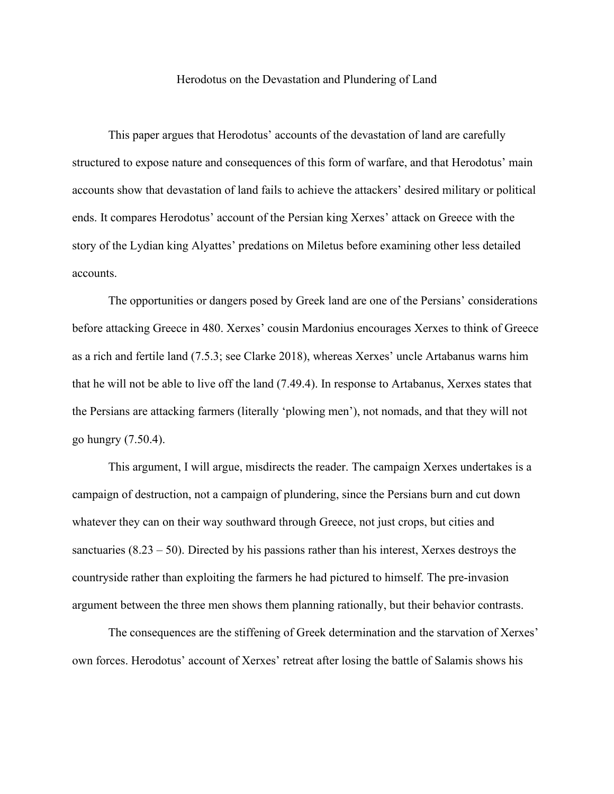## Herodotus on the Devastation and Plundering of Land

This paper argues that Herodotus' accounts of the devastation of land are carefully structured to expose nature and consequences of this form of warfare, and that Herodotus' main accounts show that devastation of land fails to achieve the attackers' desired military or political ends. It compares Herodotus' account of the Persian king Xerxes' attack on Greece with the story of the Lydian king Alyattes' predations on Miletus before examining other less detailed accounts.

The opportunities or dangers posed by Greek land are one of the Persians' considerations before attacking Greece in 480. Xerxes' cousin Mardonius encourages Xerxes to think of Greece as a rich and fertile land (7.5.3; see Clarke 2018), whereas Xerxes' uncle Artabanus warns him that he will not be able to live off the land (7.49.4). In response to Artabanus, Xerxes states that the Persians are attacking farmers (literally 'plowing men'), not nomads, and that they will not go hungry (7.50.4).

This argument, I will argue, misdirects the reader. The campaign Xerxes undertakes is a campaign of destruction, not a campaign of plundering, since the Persians burn and cut down whatever they can on their way southward through Greece, not just crops, but cities and sanctuaries  $(8.23 - 50)$ . Directed by his passions rather than his interest, Xerxes destroys the countryside rather than exploiting the farmers he had pictured to himself. The pre-invasion argument between the three men shows them planning rationally, but their behavior contrasts.

The consequences are the stiffening of Greek determination and the starvation of Xerxes' own forces. Herodotus' account of Xerxes' retreat after losing the battle of Salamis shows his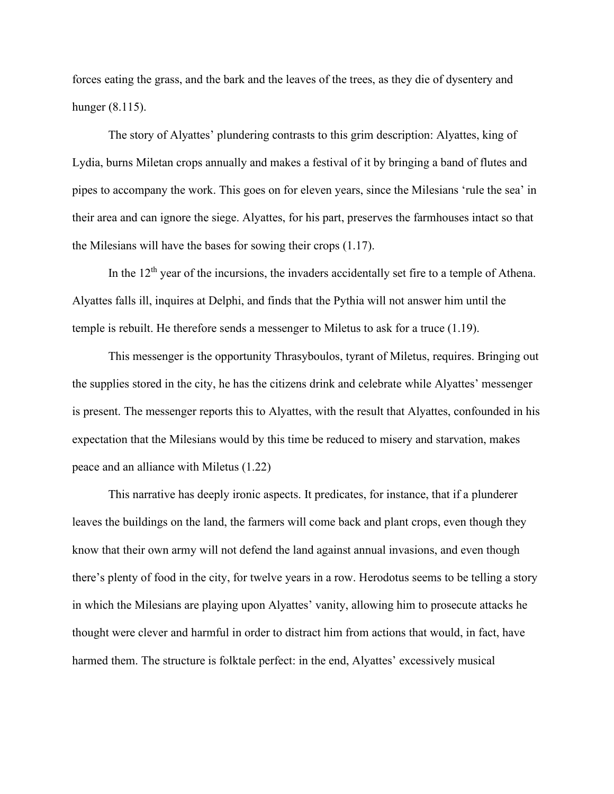forces eating the grass, and the bark and the leaves of the trees, as they die of dysentery and hunger (8.115).

The story of Alyattes' plundering contrasts to this grim description: Alyattes, king of Lydia, burns Miletan crops annually and makes a festival of it by bringing a band of flutes and pipes to accompany the work. This goes on for eleven years, since the Milesians 'rule the sea' in their area and can ignore the siege. Alyattes, for his part, preserves the farmhouses intact so that the Milesians will have the bases for sowing their crops (1.17).

In the  $12<sup>th</sup>$  year of the incursions, the invaders accidentally set fire to a temple of Athena. Alyattes falls ill, inquires at Delphi, and finds that the Pythia will not answer him until the temple is rebuilt. He therefore sends a messenger to Miletus to ask for a truce (1.19).

This messenger is the opportunity Thrasyboulos, tyrant of Miletus, requires. Bringing out the supplies stored in the city, he has the citizens drink and celebrate while Alyattes' messenger is present. The messenger reports this to Alyattes, with the result that Alyattes, confounded in his expectation that the Milesians would by this time be reduced to misery and starvation, makes peace and an alliance with Miletus (1.22)

This narrative has deeply ironic aspects. It predicates, for instance, that if a plunderer leaves the buildings on the land, the farmers will come back and plant crops, even though they know that their own army will not defend the land against annual invasions, and even though there's plenty of food in the city, for twelve years in a row. Herodotus seems to be telling a story in which the Milesians are playing upon Alyattes' vanity, allowing him to prosecute attacks he thought were clever and harmful in order to distract him from actions that would, in fact, have harmed them. The structure is folktale perfect: in the end, Alyattes' excessively musical